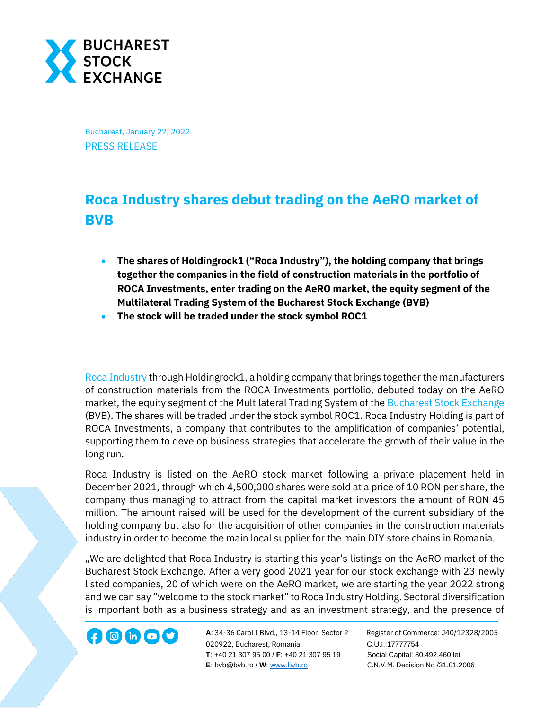

Bucharest, January 27, 2022 PRESS RELEASE

## **Roca Industry shares debut trading on the AeRO market of BVB**

- **The shares of Holdingrock1 ("Roca Industry"), the holding company that brings together the companies in the field of construction materials in the portfolio of ROCA Investments, enter trading on the AeRO market, the equity segment of the Multilateral Trading System of the Bucharest Stock Exchange (BVB)**
- **The stock will be traded under the stock symbol ROC1**

[Roca Industry](https://rocaindustry.ro/) through Holdingrock1, a holding company that brings together the manufacturers of construction materials from the ROCA Investments portfolio, debuted today on the AeRO market, the equity segment of the Multilateral Trading System of the [Bucharest Stock Exchange](http://www.bvb.ro/) (BVB). The shares will be traded under the stock symbol ROC1. Roca Industry Holding is part of ROCA Investments, a company that contributes to the amplification of companies' potential, supporting them to develop business strategies that accelerate the growth of their value in the long run.

Roca Industry is listed on the AeRO stock market following a private placement held in December 2021, through which 4,500,000 shares were sold at a price of 10 RON per share, the company thus managing to attract from the capital market investors the amount of RON 45 million. The amount raised will be used for the development of the current subsidiary of the holding company but also for the acquisition of other companies in the construction materials industry in order to become the main local supplier for the main DIY store chains in Romania.

"We are delighted that Roca Industry is starting this year's listings on the AeRO market of the Bucharest Stock Exchange. After a very good 2021 year for our stock exchange with 23 newly listed companies, 20 of which were on the AeRO market, we are starting the year 2022 strong and we can say "welcome to the stock market" to Roca Industry Holding. Sectoral diversification is important both as a business strategy and as an investment strategy, and the presence of

020922, Bucharest, Romania C.U.I.:17777754  **T**: +40 21 307 95 00 / **F**: +40 21 307 95 19 Social Capital: 80.492.460 lei **E**: bvb@bvb.ro / **W**[: www.bvb.ro](http://www.bvb.ro/) C.N.V.M. Decision No /31.01.2006

**A**: 34-36 Carol I Blvd., 13-14 Floor, Sector 2 Register of Commerce: J40/12328/2005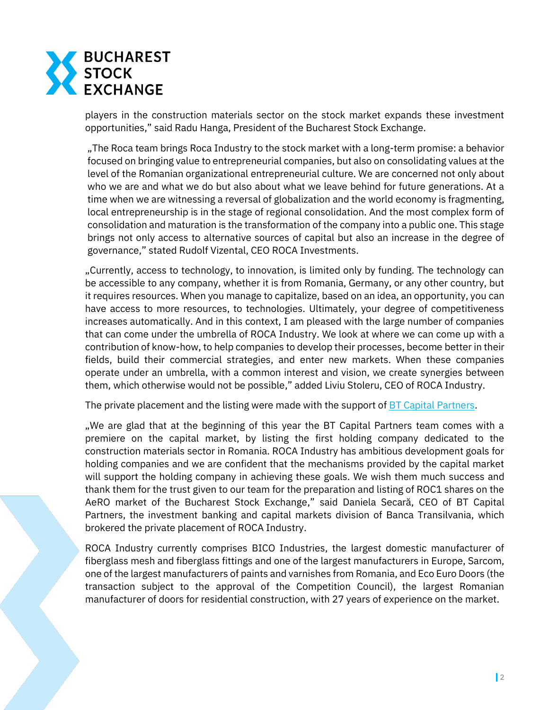

players in the construction materials sector on the stock market expands these investment opportunities," said Radu Hanga, President of the Bucharest Stock Exchange.

"The Roca team brings Roca Industry to the stock market with a long-term promise: a behavior focused on bringing value to entrepreneurial companies, but also on consolidating values at the level of the Romanian organizational entrepreneurial culture. We are concerned not only about who we are and what we do but also about what we leave behind for future generations. At a time when we are witnessing a reversal of globalization and the world economy is fragmenting, local entrepreneurship is in the stage of regional consolidation. And the most complex form of consolidation and maturation is the transformation of the company into a public one. This stage brings not only access to alternative sources of capital but also an increase in the degree of governance," stated Rudolf Vizental, CEO ROCA Investments.

"Currently, access to technology, to innovation, is limited only by funding. The technology can be accessible to any company, whether it is from Romania, Germany, or any other country, but it requires resources. When you manage to capitalize, based on an idea, an opportunity, you can have access to more resources, to technologies. Ultimately, your degree of competitiveness increases automatically. And in this context, I am pleased with the large number of companies that can come under the umbrella of ROCA Industry. We look at where we can come up with a contribution of know-how, to help companies to develop their processes, become better in their fields, build their commercial strategies, and enter new markets. When these companies operate under an umbrella, with a common interest and vision, we create synergies between them, which otherwise would not be possible," added Liviu Stoleru, CEO of ROCA Industry.

The private placement and the listing were made with the support of [BT Capital Partners.](https://btcapitalpartners.ro/en/home/)

"We are glad that at the beginning of this year the BT Capital Partners team comes with a premiere on the capital market, by listing the first holding company dedicated to the construction materials sector in Romania. ROCA Industry has ambitious development goals for holding companies and we are confident that the mechanisms provided by the capital market will support the holding company in achieving these goals. We wish them much success and thank them for the trust given to our team for the preparation and listing of ROC1 shares on the AeRO market of the Bucharest Stock Exchange," said Daniela Secară, CEO of BT Capital Partners, the investment banking and capital markets division of Banca Transilvania, which brokered the private placement of ROCA Industry.

ROCA Industry currently comprises BICO Industries, the largest domestic manufacturer of fiberglass mesh and fiberglass fittings and one of the largest manufacturers in Europe, Sarcom, one of the largest manufacturers of paints and varnishes from Romania, and Eco Euro Doors (the transaction subject to the approval of the Competition Council), the largest Romanian manufacturer of doors for residential construction, with 27 years of experience on the market.